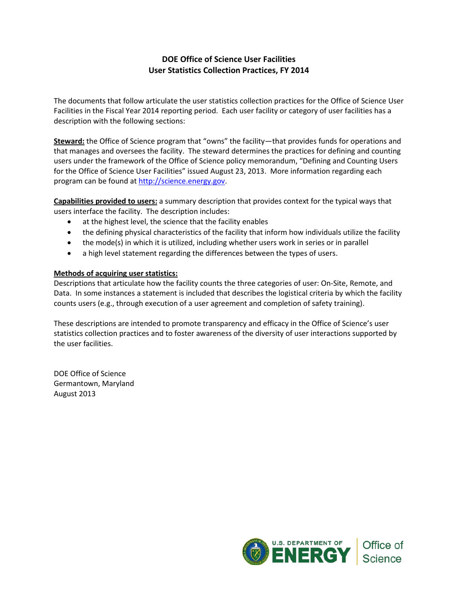# **DOE Office of Science User Facilities User Statistics Collection Practices, FY 2014**

The documents that follow articulate the user statistics collection practices for the Office of Science User Facilities in the Fiscal Year 2014 reporting period. Each user facility or category of user facilities has a description with the following sections:

**Steward:** the Office of Science program that "owns" the facility—that provides funds for operations and that manages and oversees the facility. The steward determines the practices for defining and counting users under the framework of the Office of Science policy memorandum, "Defining and Counting Users for the Office of Science User Facilities" issued August 23, 2013. More information regarding each program can be found at [http://science.energy.gov.](http://science.energy.gov/)

**Capabilities provided to users:** a summary description that provides context for the typical ways that users interface the facility. The description includes:

- at the highest level, the science that the facility enables
- the defining physical characteristics of the facility that inform how individuals utilize the facility
- the mode(s) in which it is utilized, including whether users work in series or in parallel
- a high level statement regarding the differences between the types of users.

### **Methods of acquiring user statistics:**

Descriptions that articulate how the facility counts the three categories of user: On-Site, Remote, and Data. In some instances a statement is included that describes the logistical criteria by which the facility counts users (e.g., through execution of a user agreement and completion of safety training).

These descriptions are intended to promote transparency and efficacy in the Office of Science's user statistics collection practices and to foster awareness of the diversity of user interactions supported by the user facilities.

DOE Office of Science Germantown, Maryland August 2013

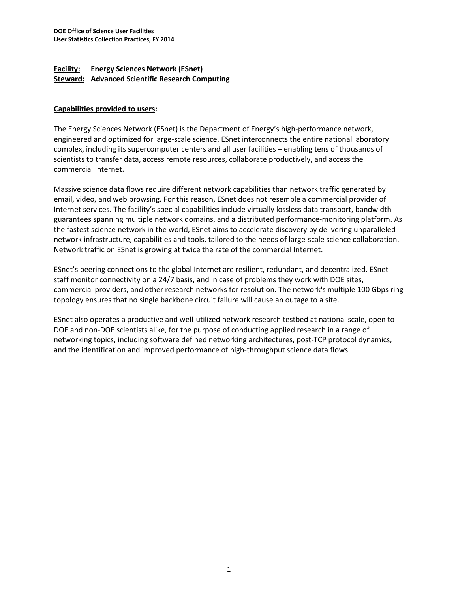## **Facility: Energy Sciences Network (ESnet) Steward: Advanced Scientific Research Computing**

## **Capabilities provided to users:**

The Energy Sciences Network (ESnet) is the Department of Energy's high-performance network, engineered and optimized for large-scale science. ESnet interconnects the entire national laboratory complex, including its supercomputer centers and all user facilities – enabling tens of thousands of scientists to transfer data, access remote resources, collaborate productively, and access the commercial Internet.

Massive science data flows require different network capabilities than network traffic generated by email, video, and web browsing. For this reason, ESnet does not resemble a commercial provider of Internet services. The facility's special capabilities include virtually lossless data transport, bandwidth guarantees spanning multiple network domains, and a distributed performance-monitoring platform. As the fastest science network in the world, ESnet aims to accelerate discovery by delivering unparalleled network infrastructure, capabilities and tools, tailored to the needs of large-scale science collaboration. Network traffic on ESnet is growing at twice the rate of the commercial Internet.

ESnet's peering connections to the global Internet are resilient, redundant, and decentralized. ESnet staff monitor connectivity on a 24/7 basis, and in case of problems they work with DOE sites, commercial providers, and other research networks for resolution. The network's multiple 100 Gbps ring topology ensures that no single backbone circuit failure will cause an outage to a site.

ESnet also operates a productive and well-utilized network research testbed at national scale, open to DOE and non-DOE scientists alike, for the purpose of conducting applied research in a range of networking topics, including software defined networking architectures, post-TCP protocol dynamics, and the identification and improved performance of high-throughput science data flows.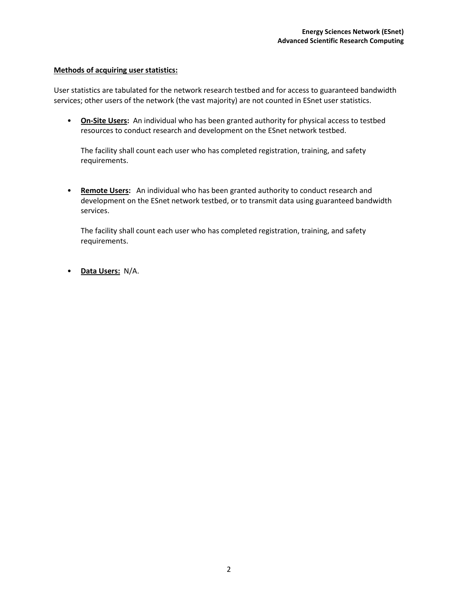User statistics are tabulated for the network research testbed and for access to guaranteed bandwidth services; other users of the network (the vast majority) are not counted in ESnet user statistics.

• **On-Site Users:** An individual who has been granted authority for physical access to testbed resources to conduct research and development on the ESnet network testbed.

The facility shall count each user who has completed registration, training, and safety requirements.

• **Remote Users:** An individual who has been granted authority to conduct research and development on the ESnet network testbed, or to transmit data using guaranteed bandwidth services.

The facility shall count each user who has completed registration, training, and safety requirements.

• **Data Users:** N/A.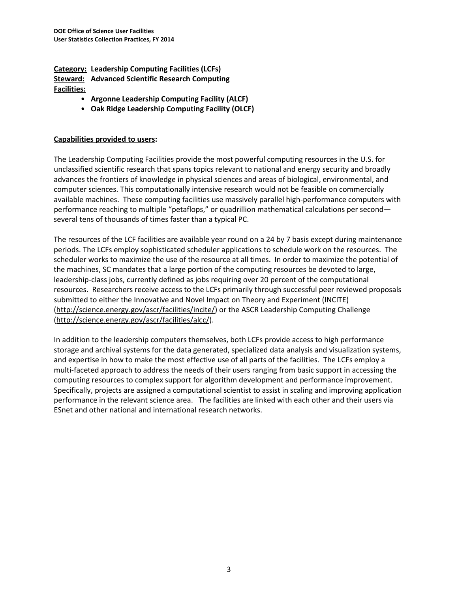**Category: Leadership Computing Facilities (LCFs) Steward: Advanced Scientific Research Computing Facilities:**

- **Argonne Leadership Computing Facility (ALCF)**
- **Oak Ridge Leadership Computing Facility (OLCF)**

### **Capabilities provided to users:**

The Leadership Computing Facilities provide the most powerful computing resources in the U.S. for unclassified scientific research that spans topics relevant to national and energy security and broadly advances the frontiers of knowledge in physical sciences and areas of biological, environmental, and computer sciences. This computationally intensive research would not be feasible on commercially available machines. These computing facilities use massively parallel high-performance computers with performance reaching to multiple "petaflops," or quadrillion mathematical calculations per second several tens of thousands of times faster than a typical PC.

The resources of the LCF facilities are available year round on a 24 by 7 basis except during maintenance periods. The LCFs employ sophisticated scheduler applications to schedule work on the resources. The scheduler works to maximize the use of the resource at all times. In order to maximize the potential of the machines, SC mandates that a large portion of the computing resources be devoted to large, leadership-class jobs, currently defined as jobs requiring over 20 percent of the computational resources. Researchers receive access to the LCFs primarily through successful peer reviewed proposals submitted to either the Innovative and Novel Impact on Theory and Experiment (INCITE) [\(http://science.energy.gov/ascr/facilities/incite/\)](http://science.energy.gov/ascr/facilities/incite/) or the ASCR Leadership Computing Challenge [\(http://science.energy.gov/ascr/facilities/alcc/\)](http://science.energy.gov/ascr/facilities/alcc/).

In addition to the leadership computers themselves, both LCFs provide access to high performance storage and archival systems for the data generated, specialized data analysis and visualization systems, and expertise in how to make the most effective use of all parts of the facilities. The LCFs employ a multi-faceted approach to address the needs of their users ranging from basic support in accessing the computing resources to complex support for algorithm development and performance improvement. Specifically, projects are assigned a computational scientist to assist in scaling and improving application performance in the relevant science area. The facilities are linked with each other and their users via ESnet and other national and international research networks.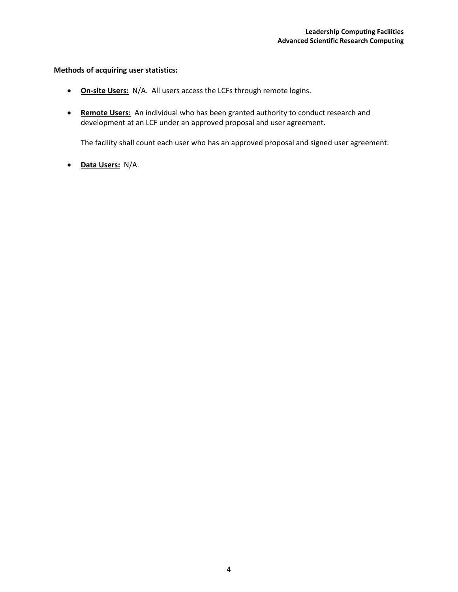- **On-site Users:** N/A. All users access the LCFs through remote logins.
- **Remote Users:** An individual who has been granted authority to conduct research and development at an LCF under an approved proposal and user agreement.

The facility shall count each user who has an approved proposal and signed user agreement.

• **Data Users:** N/A.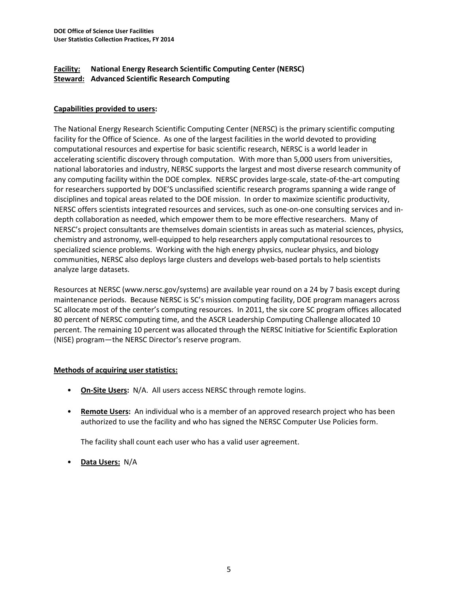## **Facility: National Energy Research Scientific Computing Center (NERSC) Steward: Advanced Scientific Research Computing**

## **Capabilities provided to users:**

The National Energy Research Scientific Computing Center (NERSC) is the primary scientific computing facility for the Office of Science. As one of the largest facilities in the world devoted to providing computational resources and expertise for basic scientific research, NERSC is a world leader in accelerating scientific discovery through computation. With more than 5,000 users from universities, national laboratories and industry, NERSC supports the largest and most diverse research community of any computing facility within the DOE complex. NERSC provides large-scale, state-of-the-art computing for researchers supported by DOE'S unclassified scientific research programs spanning a wide range of disciplines and topical areas related to the DOE mission. In order to maximize scientific productivity, NERSC offers scientists integrated resources and services, such as one-on-one consulting services and indepth collaboration as needed, which empower them to be more effective researchers. Many of NERSC's project consultants are themselves domain scientists in areas such as material sciences, physics, chemistry and astronomy, well-equipped to help researchers apply computational resources to specialized science problems. Working with the high energy physics, nuclear physics, and biology communities, NERSC also deploys large clusters and develops web-based portals to help scientists analyze large datasets.

Resources at NERSC (www.nersc.gov/systems) are available year round on a 24 by 7 basis except during maintenance periods. Because NERSC is SC's mission computing facility, DOE program managers across SC allocate most of the center's computing resources. In 2011, the six core SC program offices allocated 80 percent of NERSC computing time, and the ASCR Leadership Computing Challenge allocated 10 percent. The remaining 10 percent was allocated through the NERSC Initiative for Scientific Exploration (NISE) program—the NERSC Director's reserve program.

### **Methods of acquiring user statistics:**

- **On-Site Users:** N/A. All users access NERSC through remote logins.
- **Remote Users:** An individual who is a member of an approved research project who has been authorized to use the facility and who has signed the NERSC Computer Use Policies form.

The facility shall count each user who has a valid user agreement.

• **Data Users:** N/A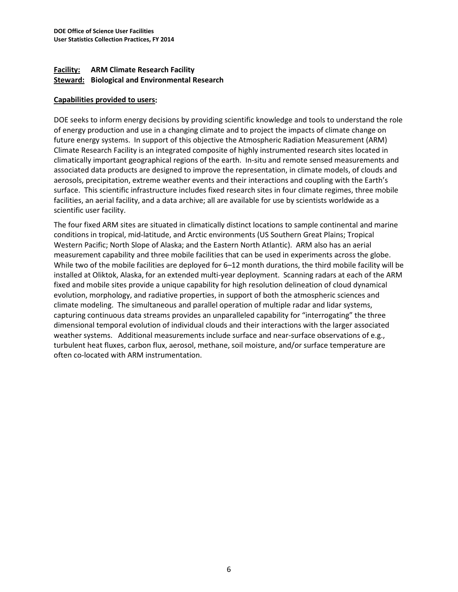## **Facility: ARM Climate Research Facility Steward: Biological and Environmental Research**

#### **Capabilities provided to users:**

DOE seeks to inform energy decisions by providing scientific knowledge and tools to understand the role of energy production and use in a changing climate and to project the impacts of climate change on future energy systems. In support of this objective the Atmospheric Radiation Measurement (ARM) Climate Research Facility is an integrated composite of highly instrumented research sites located in climatically important geographical regions of the earth. In-situ and remote sensed measurements and associated data products are designed to improve the representation, in climate models, of clouds and aerosols, precipitation, extreme weather events and their interactions and coupling with the Earth's surface. This scientific infrastructure includes fixed research sites in four climate regimes, three mobile facilities, an aerial facility, and a data archive; all are available for use by scientists worldwide as a scientific user facility.

The four fixed ARM sites are situated in climatically distinct locations to sample continental and marine conditions in tropical, mid-latitude, and Arctic environments (US Southern Great Plains; Tropical Western Pacific; North Slope of Alaska; and the Eastern North Atlantic). ARM also has an aerial measurement capability and three mobile facilities that can be used in experiments across the globe. While two of the mobile facilities are deployed for 6–12 month durations, the third mobile facility will be installed at Oliktok, Alaska, for an extended multi-year deployment. Scanning radars at each of the ARM fixed and mobile sites provide a unique capability for high resolution delineation of cloud dynamical evolution, morphology, and radiative properties, in support of both the atmospheric sciences and climate modeling. The simultaneous and parallel operation of multiple radar and lidar systems, capturing continuous data streams provides an unparalleled capability for "interrogating" the three dimensional temporal evolution of individual clouds and their interactions with the larger associated weather systems. Additional measurements include surface and near-surface observations of e.g., turbulent heat fluxes, carbon flux, aerosol, methane, soil moisture, and/or surface temperature are often co-located with ARM instrumentation.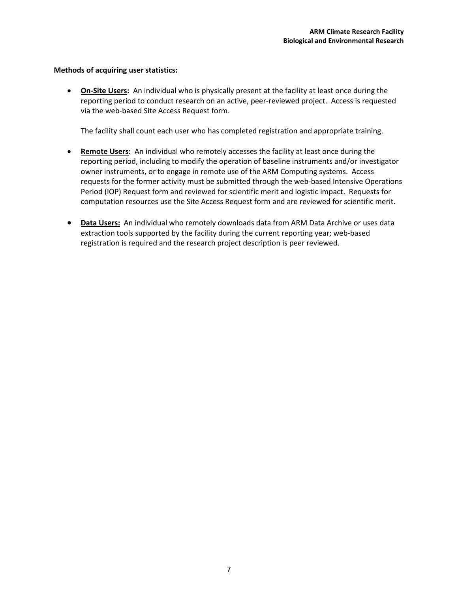• **On-Site Users:** An individual who is physically present at the facility at least once during the reporting period to conduct research on an active, peer-reviewed project. Access is requested via the web-based Site Access Request form.

The facility shall count each user who has completed registration and appropriate training.

- **Remote Users:** An individual who remotely accesses the facility at least once during the reporting period, including to modify the operation of baseline instruments and/or investigator owner instruments, or to engage in remote use of the ARM Computing systems. Access requests for the former activity must be submitted through the web-based Intensive Operations Period (IOP) Request form and reviewed for scientific merit and logistic impact. Requests for computation resources use the Site Access Request form and are reviewed for scientific merit.
- **Data Users:** An individual who remotely downloads data from ARM Data Archive or uses data extraction tools supported by the facility during the current reporting year; web-based registration is required and the research project description is peer reviewed.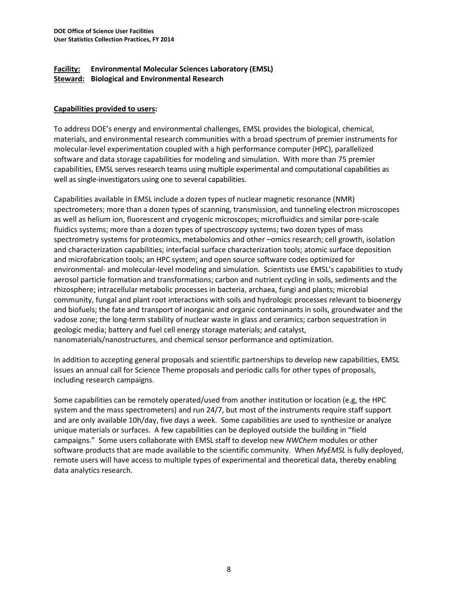## **Facility: Environmental Molecular Sciences Laboratory (EMSL) Steward: Biological and Environmental Research**

## **Capabilities provided to users:**

To address DOE's energy and environmental challenges, EMSL provides the biological, chemical, materials, and environmental research communities with a broad spectrum of premier instruments for molecular-level experimentation coupled with a high performance computer (HPC), parallelized software and data storage capabilities for modeling and simulation. With more than 75 premier capabilities, EMSL serves research teams using multiple experimental and computational capabilities as well as single-investigators using one to several capabilities.

Capabilities available in EMSL include a dozen types of nuclear magnetic resonance (NMR) spectrometers; more than a dozen types of scanning, transmission, and tunneling electron microscopes as well as helium ion, fluorescent and cryogenic microscopes; microfluidics and similar pore-scale fluidics systems; more than a dozen types of spectroscopy systems; two dozen types of mass spectrometry systems for proteomics, metabolomics and other –omics research; cell growth, isolation and characterization capabilities; interfacial surface characterization tools; atomic surface deposition and microfabrication tools; an HPC system; and open source software codes optimized for environmental- and molecular-level modeling and simulation. Scientists use EMSL's capabilities to study aerosol particle formation and transformations; carbon and nutrient cycling in soils, sediments and the rhizosphere; intracellular metabolic processes in bacteria, archaea, fungi and plants; microbial community, fungal and plant root interactions with soils and hydrologic processes relevant to bioenergy and biofuels; the fate and transport of inorganic and organic contaminants in soils, groundwater and the vadose zone; the long-term stability of nuclear waste in glass and ceramics; carbon sequestration in geologic media; battery and fuel cell energy storage materials; and catalyst, nanomaterials/nanostructures, and chemical sensor performance and optimization.

In addition to accepting general proposals and scientific partnerships to develop new capabilities, EMSL issues an annual call for Science Theme proposals and periodic calls for other types of proposals, including research campaigns.

Some capabilities can be remotely operated/used from another institution or location (e.g, the HPC system and the mass spectrometers) and run 24/7, but most of the instruments require staff support and are only available 10h/day, five days a week. Some capabilities are used to synthesize or analyze unique materials or surfaces. A few capabilities can be deployed outside the building in "field campaigns." Some users collaborate with EMSL staff to develop new *NWChem* modules or other software products that are made available to the scientific community. When *MyEMSL* is fully deployed, remote users will have access to multiple types of experimental and theoretical data, thereby enabling data analytics research.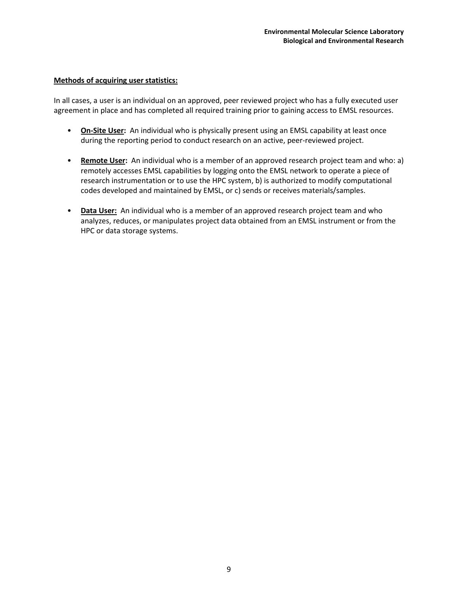In all cases, a user is an individual on an approved, peer reviewed project who has a fully executed user agreement in place and has completed all required training prior to gaining access to EMSL resources.

- **On-Site User:** An individual who is physically present using an EMSL capability at least once during the reporting period to conduct research on an active, peer-reviewed project.
- **Remote User:** An individual who is a member of an approved research project team and who: a) remotely accesses EMSL capabilities by logging onto the EMSL network to operate a piece of research instrumentation or to use the HPC system, b) is authorized to modify computational codes developed and maintained by EMSL, or c) sends or receives materials/samples.
- **Data User:** An individual who is a member of an approved research project team and who analyzes, reduces, or manipulates project data obtained from an EMSL instrument or from the HPC or data storage systems.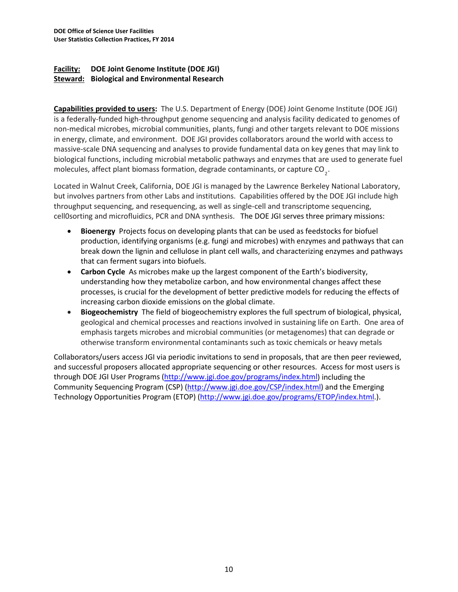## **Facility: DOE Joint Genome Institute (DOE JGI) Steward: Biological and Environmental Research**

**Capabilities provided to users:** The U.S. Department of Energy (DOE) Joint Genome Institute (DOE JGI) is a federally-funded high-throughput genome sequencing and analysis facility dedicated to genomes of non-medical microbes, microbial communities, plants, fungi and other targets relevant to DOE missions in energy, climate, and environment. DOE JGI provides collaborators around the world with access to massive-scale DNA sequencing and analyses to provide fundamental data on key genes that may link to biological functions, including microbial metabolic pathways and enzymes that are used to generate fuel molecules, affect plant biomass formation, degrade contaminants, or capture CO<sub>2</sub>.

Located in Walnut Creek, California, DOE JGI is managed by the Lawrence Berkeley National Laboratory, but involves partners from other Labs and institutions. Capabilities offered by the DOE JGI include high throughput sequencing, and resequencing, as well as single-cell and transcriptome sequencing, cell0sorting and microfluidics, PCR and DNA synthesis. The DOE JGI serves three primary missions:

- **Bioenergy** Projects focus on developing plants that can be used as feedstocks for biofuel production, identifying organisms (e.g. fungi and microbes) with enzymes and pathways that can break down the lignin and cellulose in plant cell walls, and characterizing enzymes and pathways that can ferment sugars into biofuels.
- **Carbon Cycle** As microbes make up the largest component of the Earth's biodiversity, understanding how they metabolize carbon, and how environmental changes affect these processes, is crucial for the development of better predictive models for reducing the effects of increasing carbon dioxide emissions on the global climate.
- **Biogeochemistry** The field of biogeochemistry explores the full spectrum of biological, physical, geological and chemical processes and reactions involved in sustaining life on Earth. One area of emphasis targets microbes and microbial communities (or metagenomes) that can degrade or otherwise transform environmental contaminants such as toxic chemicals or heavy metals

Collaborators/users access JGI via periodic invitations to send in proposals, that are then peer reviewed, and successful proposers allocated appropriate sequencing or other resources. Access for most users is through DOE JGI User Programs [\(http://www.jgi.doe.gov/programs/index.html\)](http://www.jgi.doe.gov/programs/index.html) including the Community Sequencing Program (CSP) [\(http://www.jgi.doe.gov/CSP/index.html\)](http://www.jgi.doe.gov/CSP/index.html) and the Emerging Technology Opportunities Program (ETOP) [\(http://www.jgi.doe.gov/programs/ETOP/index.html.](http://www.jgi.doe.gov/programs/ETOP/index.html)).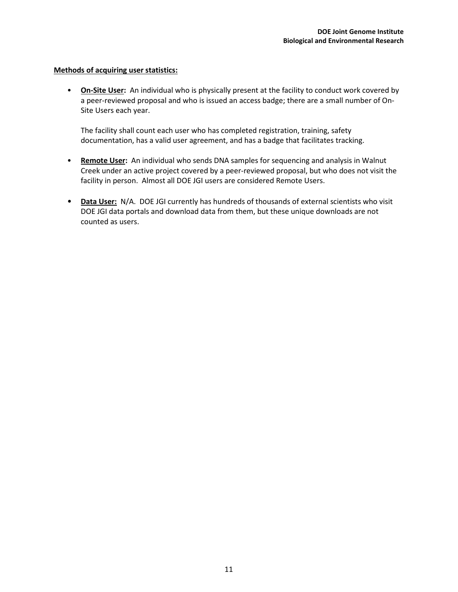• **On-Site User:** An individual who is physically present at the facility to conduct work covered by a peer-reviewed proposal and who is issued an access badge; there are a small number of On-Site Users each year.

The facility shall count each user who has completed registration, training, safety documentation, has a valid user agreement, and has a badge that facilitates tracking.

- **Remote User:** An individual who sends DNA samples for sequencing and analysis in Walnut Creek under an active project covered by a peer-reviewed proposal, but who does not visit the facility in person. Almost all DOE JGI users are considered Remote Users.
- **Data User:** N/A. DOE JGI currently has hundreds of thousands of external scientists who visit DOE JGI data portals and download data from them, but these unique downloads are not counted as users.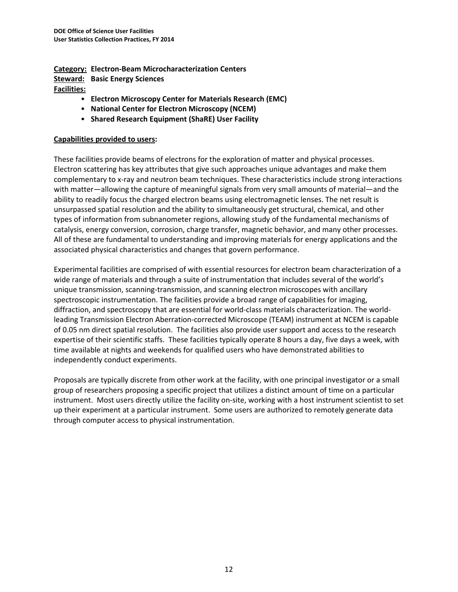**Category: Electron-Beam Microcharacterization Centers Steward: Basic Energy Sciences Facilities:**

- **Electron Microscopy Center for Materials Research (EMC)**
- **National Center for Electron Microscopy (NCEM)**
- **Shared Research Equipment (ShaRE) User Facility**

### **Capabilities provided to users:**

These facilities provide beams of electrons for the exploration of matter and physical processes. Electron scattering has key attributes that give such approaches unique advantages and make them complementary to xray and neutron beam techniques. These characteristics include strong interactions with matter—allowing the capture of meaningful signals from very small amounts of material—and the ability to readily focus the charged electron beams using electromagnetic lenses. The net result is unsurpassed spatial resolution and the ability to simultaneously get structural, chemical, and other types of information from subnanometer regions, allowing study of the fundamental mechanisms of catalysis, energy conversion, corrosion, charge transfer, magnetic behavior, and many other processes. All of these are fundamental to understanding and improving materials for energy applications and the associated physical characteristics and changes that govern performance.

Experimental facilities are comprised of with essential resources for electron beam characterization of a wide range of materials and through a suite of instrumentation that includes several of the world's unique transmission, scanning-transmission, and scanning electron microscopes with ancillary spectroscopic instrumentation. The facilities provide a broad range of capabilities for imaging, diffraction, and spectroscopy that are essential for world-class materials characterization. The worldleading Transmission Electron Aberration-corrected Microscope (TEAM) instrument at NCEM is capable of 0.05 nm direct spatial resolution. The facilities also provide user support and access to the research expertise of their scientific staffs. These facilities typically operate 8 hours a day, five days a week, with time available at nights and weekends for qualified users who have demonstrated abilities to independently conduct experiments.

Proposals are typically discrete from other work at the facility, with one principal investigator or a small group of researchers proposing a specific project that utilizes a distinct amount of time on a particular instrument. Most users directly utilize the facility on-site, working with a host instrument scientist to set up their experiment at a particular instrument. Some users are authorized to remotely generate data through computer access to physical instrumentation.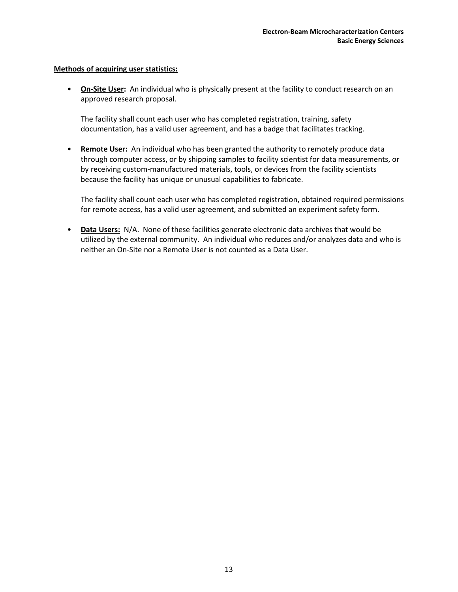• **On-Site User:** An individual who is physically present at the facility to conduct research on an approved research proposal.

The facility shall count each user who has completed registration, training, safety documentation, has a valid user agreement, and has a badge that facilitates tracking.

• **Remote User:** An individual who has been granted the authority to remotely produce data through computer access, or by shipping samples to facility scientist for data measurements, or by receiving custom-manufactured materials, tools, or devices from the facility scientists because the facility has unique or unusual capabilities to fabricate.

The facility shall count each user who has completed registration, obtained required permissions for remote access, has a valid user agreement, and submitted an experiment safety form.

• **Data Users:** N/A. None of these facilities generate electronic data archives that would be utilized by the external community. An individual who reduces and/or analyzes data and who is neither an On-Site nor a Remote User is not counted as a Data User.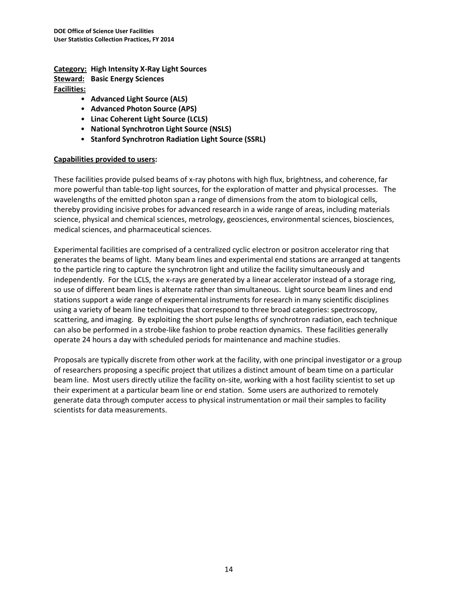**Category: High Intensity X-Ray Light Sources Steward: Basic Energy Sciences Facilities:**

- **Advanced Light Source (ALS)**
- **Advanced Photon Source (APS)**
- **Linac Coherent Light Source (LCLS)**
- **National Synchrotron Light Source (NSLS)**
- **Stanford Synchrotron Radiation Light Source (SSRL)**

### **Capabilities provided to users:**

These facilities provide pulsed beams of x-ray photons with high flux, brightness, and coherence, far more powerful than table-top light sources, for the exploration of matter and physical processes. The wavelengths of the emitted photon span a range of dimensions from the atom to biological cells, thereby providing incisive probes for advanced research in a wide range of areas, including materials science, physical and chemical sciences, metrology, geosciences, environmental sciences, biosciences, medical sciences, and pharmaceutical sciences.

Experimental facilities are comprised of a centralized cyclic electron or positron accelerator ring that generates the beams of light. Many beam lines and experimental end stations are arranged at tangents to the particle ring to capture the synchrotron light and utilize the facility simultaneously and independently. For the LCLS, the x-rays are generated by a linear accelerator instead of a storage ring, so use of different beam lines is alternate rather than simultaneous. Light source beam lines and end stations support a wide range of experimental instruments for research in many scientific disciplines using a variety of beam line techniques that correspond to three broad categories: spectroscopy, scattering, and imaging. By exploiting the short pulse lengths of synchrotron radiation, each technique can also be performed in a strobe-like fashion to probe reaction dynamics. These facilities generally operate 24 hours a day with scheduled periods for maintenance and machine studies.

Proposals are typically discrete from other work at the facility, with one principal investigator or a group of researchers proposing a specific project that utilizes a distinct amount of beam time on a particular beam line. Most users directly utilize the facility on-site, working with a host facility scientist to set up their experiment at a particular beam line or end station. Some users are authorized to remotely generate data through computer access to physical instrumentation or mail their samples to facility scientists for data measurements.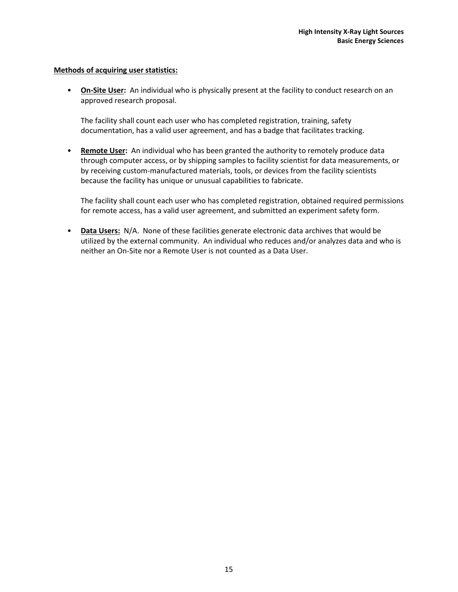• **On-Site User:** An individual who is physically present at the facility to conduct research on an approved research proposal.

The facility shall count each user who has completed registration, training, safety documentation, has a valid user agreement, and has a badge that facilitates tracking.

• **Remote User:** An individual who has been granted the authority to remotely produce data through computer access, or by shipping samples to facility scientist for data measurements, or by receiving custom-manufactured materials, tools, or devices from the facility scientists because the facility has unique or unusual capabilities to fabricate.

The facility shall count each user who has completed registration, obtained required permissions for remote access, has a valid user agreement, and submitted an experiment safety form.

• **Data Users:** N/A. None of these facilities generate electronic data archives that would be utilized by the external community. An individual who reduces and/or analyzes data and who is neither an On-Site nor a Remote User is not counted as a Data User.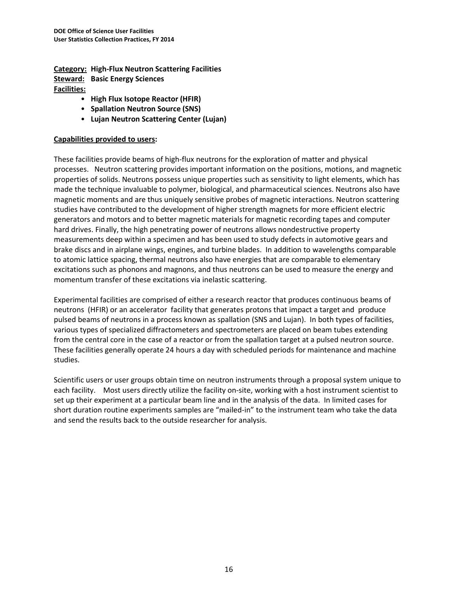**Category: High-Flux Neutron Scattering Facilities Steward: Basic Energy Sciences Facilities:**

- **High Flux Isotope Reactor (HFIR)**
- **Spallation Neutron Source (SNS)**
- **Lujan Neutron Scattering Center (Lujan)**

#### **Capabilities provided to users:**

These facilities provide beams of high-flux neutrons for the exploration of matter and physical processes. Neutron scattering provides important information on the positions, motions, and magnetic properties of solids. Neutrons possess unique properties such as sensitivity to light elements, which has made the technique invaluable to polymer, biological, and pharmaceutical sciences. Neutrons also have magnetic moments and are thus uniquely sensitive probes of magnetic interactions. Neutron scattering studies have contributed to the development of higher strength magnets for more efficient electric generators and motors and to better magnetic materials for magnetic recording tapes and computer hard drives. Finally, the high penetrating power of neutrons allows nondestructive property measurements deep within a specimen and has been used to study defects in automotive gears and brake discs and in airplane wings, engines, and turbine blades. In addition to wavelengths comparable to atomic lattice spacing, thermal neutrons also have energies that are comparable to elementary excitations such as phonons and magnons, and thus neutrons can be used to measure the energy and momentum transfer of these excitations via inelastic scattering.

Experimental facilities are comprised of either a research reactor that produces continuous beams of neutrons (HFIR) or an accelerator facility that generates protons that impact a target and produce pulsed beams of neutrons in a process known as spallation (SNS and Lujan). In both types of facilities, various types of specialized diffractometers and spectrometers are placed on beam tubes extending from the central core in the case of a reactor or from the spallation target at a pulsed neutron source. These facilities generally operate 24 hours a day with scheduled periods for maintenance and machine studies.

Scientific users or user groups obtain time on neutron instruments through a proposal system unique to each facility. Most users directly utilize the facility on-site, working with a host instrument scientist to set up their experiment at a particular beam line and in the analysis of the data. In limited cases for short duration routine experiments samples are "mailed-in" to the instrument team who take the data and send the results back to the outside researcher for analysis.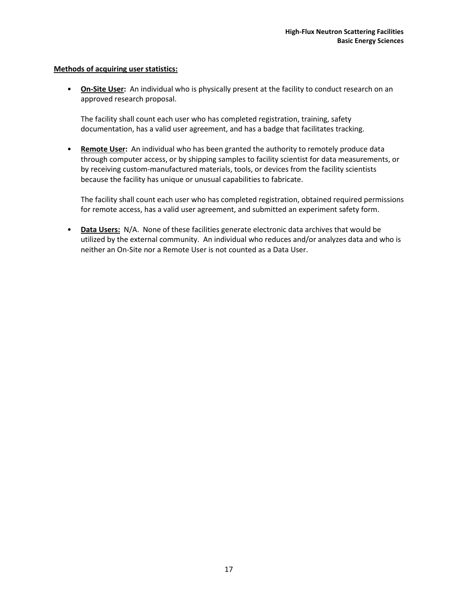• **On-Site User:** An individual who is physically present at the facility to conduct research on an approved research proposal.

The facility shall count each user who has completed registration, training, safety documentation, has a valid user agreement, and has a badge that facilitates tracking.

• **Remote User:** An individual who has been granted the authority to remotely produce data through computer access, or by shipping samples to facility scientist for data measurements, or by receiving custom-manufactured materials, tools, or devices from the facility scientists because the facility has unique or unusual capabilities to fabricate.

The facility shall count each user who has completed registration, obtained required permissions for remote access, has a valid user agreement, and submitted an experiment safety form.

• **Data Users:** N/A. None of these facilities generate electronic data archives that would be utilized by the external community. An individual who reduces and/or analyzes data and who is neither an On-Site nor a Remote User is not counted as a Data User.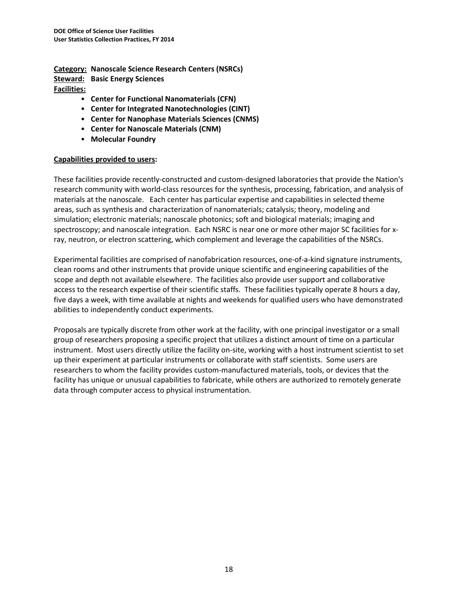**Category: Nanoscale Science Research Centers (NSRCs) Steward: Basic Energy Sciences Facilities:**

- **Center for Functional Nanomaterials (CFN)**
- **Center for Integrated Nanotechnologies (CINT)**
- **Center for Nanophase Materials Sciences (CNMS)**
- **Center for Nanoscale Materials (CNM)**
- **Molecular Foundry**

#### **Capabilities provided to users:**

These facilities provide recently-constructed and custom-designed laboratories that provide the Nation's research community with world-class resources for the synthesis, processing, fabrication, and analysis of materials at the nanoscale. Each center has particular expertise and capabilities in selected theme areas, such as synthesis and characterization of nanomaterials; catalysis; theory, modeling and simulation; electronic materials; nanoscale photonics; soft and biological materials; imaging and spectroscopy; and nanoscale integration. Each NSRC is near one or more other major SC facilities for xray, neutron, or electron scattering, which complement and leverage the capabilities of the NSRCs.

Experimental facilities are comprised of nanofabrication resources, one-of-a-kind signature instruments, clean rooms and other instruments that provide unique scientific and engineering capabilities of the scope and depth not available elsewhere. The facilities also provide user support and collaborative access to the research expertise of their scientific staffs. These facilities typically operate 8 hours a day, five days a week, with time available at nights and weekends for qualified users who have demonstrated abilities to independently conduct experiments.

Proposals are typically discrete from other work at the facility, with one principal investigator or a small group of researchers proposing a specific project that utilizes a distinct amount of time on a particular instrument. Most users directly utilize the facility on-site, working with a host instrument scientist to set up their experiment at particular instruments or collaborate with staff scientists. Some users are researchers to whom the facility provides custom-manufactured materials, tools, or devices that the facility has unique or unusual capabilities to fabricate, while others are authorized to remotely generate data through computer access to physical instrumentation.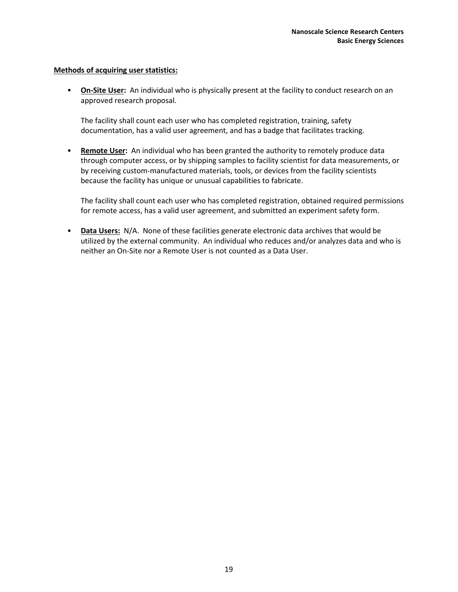• **On-Site User:** An individual who is physically present at the facility to conduct research on an approved research proposal.

The facility shall count each user who has completed registration, training, safety documentation, has a valid user agreement, and has a badge that facilitates tracking.

• **Remote User:** An individual who has been granted the authority to remotely produce data through computer access, or by shipping samples to facility scientist for data measurements, or by receiving custom-manufactured materials, tools, or devices from the facility scientists because the facility has unique or unusual capabilities to fabricate.

The facility shall count each user who has completed registration, obtained required permissions for remote access, has a valid user agreement, and submitted an experiment safety form.

• **Data Users:** N/A. None of these facilities generate electronic data archives that would be utilized by the external community. An individual who reduces and/or analyzes data and who is neither an On-Site nor a Remote User is not counted as a Data User.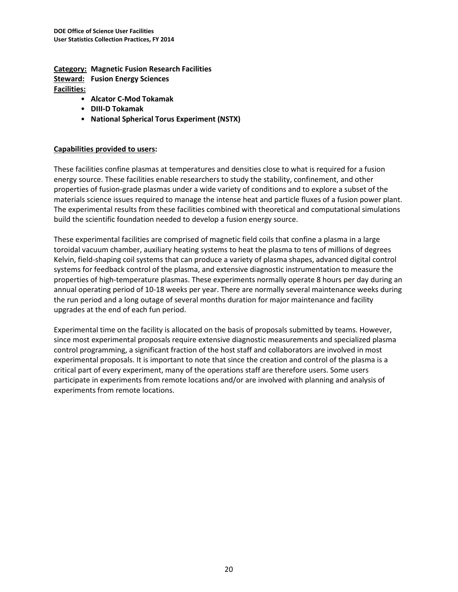**Category: Magnetic Fusion Research Facilities Steward: Fusion Energy Sciences Facilities:**

- **Alcator C-Mod Tokamak**
- **DIII-D Tokamak**
- **National Spherical Torus Experiment (NSTX)**

### **Capabilities provided to users:**

These facilities confine plasmas at temperatures and densities close to what is required for a fusion energy source. These facilities enable researchers to study the stability, confinement, and other properties of fusion-grade plasmas under a wide variety of conditions and to explore a subset of the materials science issues required to manage the intense heat and particle fluxes of a fusion power plant. The experimental results from these facilities combined with theoretical and computational simulations build the scientific foundation needed to develop a fusion energy source.

These experimental facilities are comprised of magnetic field coils that confine a plasma in a large toroidal vacuum chamber, auxiliary heating systems to heat the plasma to tens of millions of degrees Kelvin, field-shaping coil systems that can produce a variety of plasma shapes, advanced digital control systems for feedback control of the plasma, and extensive diagnostic instrumentation to measure the properties of high-temperature plasmas. These experiments normally operate 8 hours per day during an annual operating period of 10-18 weeks per year. There are normally several maintenance weeks during the run period and a long outage of several months duration for major maintenance and facility upgrades at the end of each fun period.

Experimental time on the facility is allocated on the basis of proposals submitted by teams. However, since most experimental proposals require extensive diagnostic measurements and specialized plasma control programming, a significant fraction of the host staff and collaborators are involved in most experimental proposals. It is important to note that since the creation and control of the plasma is a critical part of every experiment, many of the operations staff are therefore users. Some users participate in experiments from remote locations and/or are involved with planning and analysis of experiments from remote locations.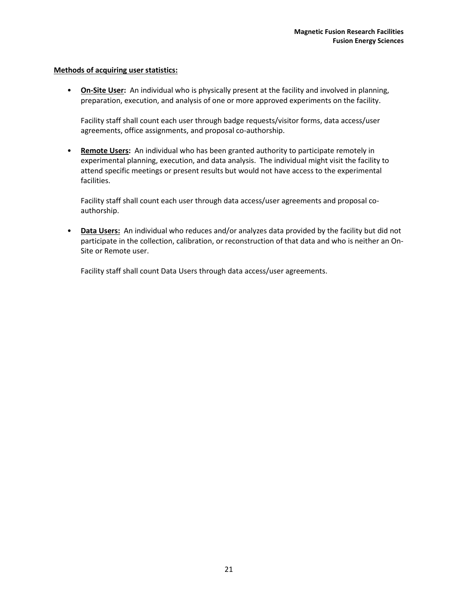• **On-Site User:** An individual who is physically present at the facility and involved in planning, preparation, execution, and analysis of one or more approved experiments on the facility.

Facility staff shall count each user through badge requests/visitor forms, data access/user agreements, office assignments, and proposal co-authorship.

• **Remote Users:** An individual who has been granted authority to participate remotely in experimental planning, execution, and data analysis. The individual might visit the facility to attend specific meetings or present results but would not have access to the experimental facilities.

Facility staff shall count each user through data access/user agreements and proposal coauthorship.

• **Data Users:** An individual who reduces and/or analyzes data provided by the facility but did not participate in the collection, calibration, or reconstruction of that data and who is neither an On-Site or Remote user.

Facility staff shall count Data Users through data access/user agreements.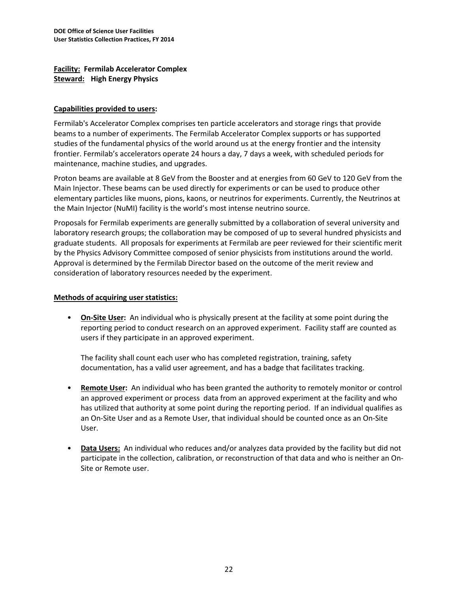**Facility: Fermilab Accelerator Complex Steward: High Energy Physics**

### **Capabilities provided to users:**

Fermilab's Accelerator Complex comprises ten particle accelerators and storage rings that provide beams to a number of experiments. The Fermilab Accelerator Complex supports or has supported studies of the fundamental physics of the world around us at the energy frontier and the intensity frontier. Fermilab's accelerators operate 24 hours a day, 7 days a week, with scheduled periods for maintenance, machine studies, and upgrades.

Proton beams are available at 8 GeV from the Booster and at energies from 60 GeV to 120 GeV from the Main Injector. These beams can be used directly for experiments or can be used to produce other elementary particles like muons, pions, kaons, or neutrinos for experiments. Currently, the Neutrinos at the Main Injector (NuMI) facility is the world's most intense neutrino source.

Proposals for Fermilab experiments are generally submitted by a collaboration of several university and laboratory research groups; the collaboration may be composed of up to several hundred physicists and graduate students. All proposals for experiments at Fermilab are peer reviewed for their scientific merit by the Physics Advisory Committee composed of senior physicists from institutions around the world. Approval is determined by the Fermilab Director based on the outcome of the merit review and consideration of laboratory resources needed by the experiment.

## **Methods of acquiring user statistics:**

• **On-Site User:** An individual who is physically present at the facility at some point during the reporting period to conduct research on an approved experiment. Facility staff are counted as users if they participate in an approved experiment.

The facility shall count each user who has completed registration, training, safety documentation, has a valid user agreement, and has a badge that facilitates tracking.

- **Remote User:** An individual who has been granted the authority to remotely monitor or control an approved experiment or process data from an approved experiment at the facility and who has utilized that authority at some point during the reporting period. If an individual qualifies as an On-Site User and as a Remote User, that individual should be counted once as an On-Site User.
- **Data Users:** An individual who reduces and/or analyzes data provided by the facility but did not participate in the collection, calibration, or reconstruction of that data and who is neither an On-Site or Remote user.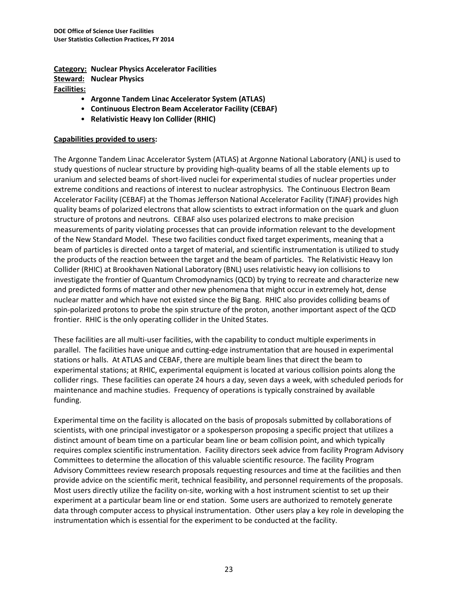**Category: Nuclear Physics Accelerator Facilities Steward: Nuclear Physics Facilities:**

- **Argonne Tandem Linac Accelerator System (ATLAS)**
- **Continuous Electron Beam Accelerator Facility (CEBAF)**
- **Relativistic Heavy Ion Collider (RHIC)**

### **Capabilities provided to users:**

The Argonne Tandem Linac Accelerator System (ATLAS) at Argonne National Laboratory (ANL) is used to study questions of nuclear structure by providing high-quality beams of all the stable elements up to uranium and selected beams of short-lived nuclei for experimental studies of nuclear properties under extreme conditions and reactions of interest to nuclear astrophysics. The Continuous Electron Beam Accelerator Facility (CEBAF) at the Thomas Jefferson National Accelerator Facility (TJNAF) provides high quality beams of polarized electrons that allow scientists to extract information on the quark and gluon structure of protons and neutrons. CEBAF also uses polarized electrons to make precision measurements of parity violating processes that can provide information relevant to the development of the New Standard Model. These two facilities conduct fixed target experiments, meaning that a beam of particles is directed onto a target of material, and scientific instrumentation is utilized to study the products of the reaction between the target and the beam of particles. The Relativistic Heavy Ion Collider (RHIC) at Brookhaven National Laboratory (BNL) uses relativistic heavy ion collisions to investigate the frontier of Quantum Chromodynamics (QCD) by trying to recreate and characterize new and predicted forms of matter and other new phenomena that might occur in extremely hot, dense nuclear matter and which have not existed since the Big Bang. RHIC also provides colliding beams of spin-polarized protons to probe the spin structure of the proton, another important aspect of the QCD frontier. RHIC is the only operating collider in the United States.

These facilities are all multi-user facilities, with the capability to conduct multiple experiments in parallel. The facilities have unique and cutting-edge instrumentation that are housed in experimental stations or halls. At ATLAS and CEBAF, there are multiple beam lines that direct the beam to experimental stations; at RHIC, experimental equipment is located at various collision points along the collider rings. These facilities can operate 24 hours a day, seven days a week, with scheduled periods for maintenance and machine studies. Frequency of operations is typically constrained by available funding.

Experimental time on the facility is allocated on the basis of proposals submitted by collaborations of scientists, with one principal investigator or a spokesperson proposing a specific project that utilizes a distinct amount of beam time on a particular beam line or beam collision point, and which typically requires complex scientific instrumentation. Facility directors seek advice from facility Program Advisory Committees to determine the allocation of this valuable scientific resource. The facility Program Advisory Committees review research proposals requesting resources and time at the facilities and then provide advice on the scientific merit, technical feasibility, and personnel requirements of the proposals. Most users directly utilize the facility on-site, working with a host instrument scientist to set up their experiment at a particular beam line or end station. Some users are authorized to remotely generate data through computer access to physical instrumentation. Other users play a key role in developing the instrumentation which is essential for the experiment to be conducted at the facility.